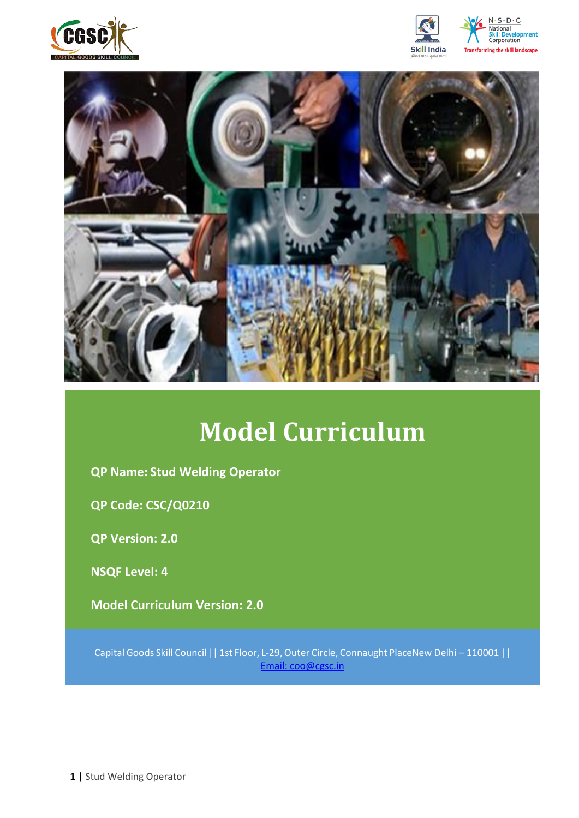







# **Model Curriculum**

**QP Name: Stud Welding Operator**

**QP Code: CSC/Q0210**

**QP Version: 2.0**

**NSQF Level: 4**

**Model Curriculum Version: 2.0** 

Capital Goods Skill Council || 1st Floor, L-29,Outer Circle, Connaught PlaceNew Delhi – 110001 || Email: [coo@cgsc.in](mailto:Email:%20coo@cgsc.in)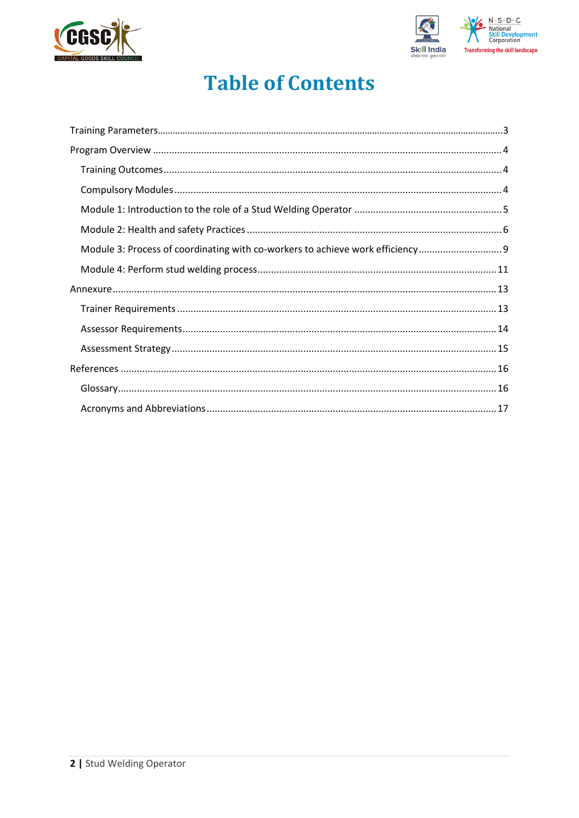



# **Table of Contents**

| Module 3: Process of coordinating with co-workers to achieve work efficiency |  |
|------------------------------------------------------------------------------|--|
|                                                                              |  |
|                                                                              |  |
|                                                                              |  |
|                                                                              |  |
|                                                                              |  |
|                                                                              |  |
|                                                                              |  |
|                                                                              |  |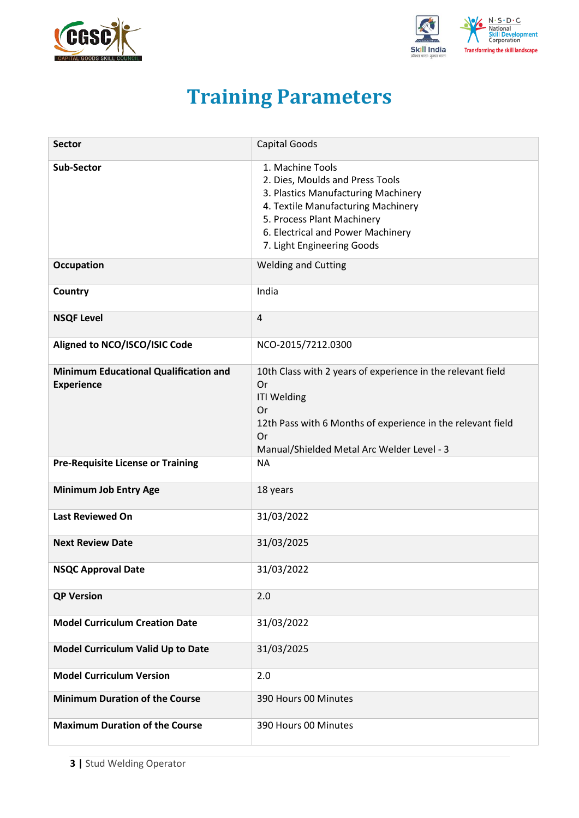<span id="page-2-0"></span>



# **Training Parameters**

| <b>Sector</b>                                                     | <b>Capital Goods</b>                                                                                                                                                                                                              |
|-------------------------------------------------------------------|-----------------------------------------------------------------------------------------------------------------------------------------------------------------------------------------------------------------------------------|
| <b>Sub-Sector</b>                                                 | 1. Machine Tools<br>2. Dies, Moulds and Press Tools<br>3. Plastics Manufacturing Machinery<br>4. Textile Manufacturing Machinery<br>5. Process Plant Machinery<br>6. Electrical and Power Machinery<br>7. Light Engineering Goods |
| <b>Occupation</b>                                                 | <b>Welding and Cutting</b>                                                                                                                                                                                                        |
| Country                                                           | India                                                                                                                                                                                                                             |
| <b>NSQF Level</b>                                                 | 4                                                                                                                                                                                                                                 |
| Aligned to NCO/ISCO/ISIC Code                                     | NCO-2015/7212.0300                                                                                                                                                                                                                |
| <b>Minimum Educational Qualification and</b><br><b>Experience</b> | 10th Class with 2 years of experience in the relevant field<br>Or<br><b>ITI Welding</b><br>Or<br>12th Pass with 6 Months of experience in the relevant field<br>Or<br>Manual/Shielded Metal Arc Welder Level - 3                  |
| <b>Pre-Requisite License or Training</b>                          | <b>NA</b>                                                                                                                                                                                                                         |
| <b>Minimum Job Entry Age</b>                                      | 18 years                                                                                                                                                                                                                          |
| <b>Last Reviewed On</b>                                           | 31/03/2022                                                                                                                                                                                                                        |
| <b>Next Review Date</b>                                           | 31/03/2025                                                                                                                                                                                                                        |
| <b>NSQC Approval Date</b>                                         | 31/03/2022                                                                                                                                                                                                                        |
| <b>QP Version</b>                                                 | 2.0                                                                                                                                                                                                                               |
| <b>Model Curriculum Creation Date</b>                             | 31/03/2022                                                                                                                                                                                                                        |
| Model Curriculum Valid Up to Date                                 | 31/03/2025                                                                                                                                                                                                                        |
| <b>Model Curriculum Version</b>                                   | 2.0                                                                                                                                                                                                                               |
| <b>Minimum Duration of the Course</b>                             | 390 Hours 00 Minutes                                                                                                                                                                                                              |
| <b>Maximum Duration of the Course</b>                             | 390 Hours 00 Minutes                                                                                                                                                                                                              |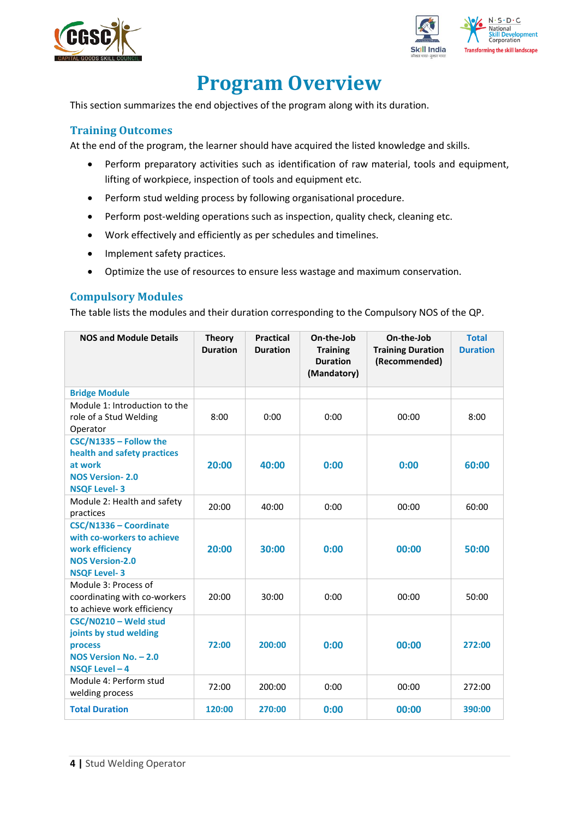



# **Program Overview**

<span id="page-3-0"></span>This section summarizes the end objectives of the program along with its duration.

### <span id="page-3-1"></span>**Training Outcomes**

<span id="page-3-2"></span>At the end of the program, the learner should have acquired the listed knowledge and skills.

- Perform preparatory activities such as identification of raw material, tools and equipment, lifting of workpiece, inspection of tools and equipment etc.
- Perform stud welding process by following organisational procedure.
- Perform post-welding operations such as inspection, quality check, cleaning etc.
- Work effectively and efficiently as per schedules and timelines.
- Implement safety practices.
- Optimize the use of resources to ensure less wastage and maximum conservation.

### **Compulsory Modules**

The table lists the modules and their duration corresponding to the Compulsory NOS of the QP.

| <b>NOS and Module Details</b>                                                                                            | <b>Theory</b><br><b>Duration</b> | <b>Practical</b><br><b>Duration</b> | On-the-Job<br><b>Training</b><br><b>Duration</b><br>(Mandatory) | On-the-Job<br><b>Training Duration</b><br>(Recommended) | <b>Total</b><br><b>Duration</b> |
|--------------------------------------------------------------------------------------------------------------------------|----------------------------------|-------------------------------------|-----------------------------------------------------------------|---------------------------------------------------------|---------------------------------|
| <b>Bridge Module</b>                                                                                                     |                                  |                                     |                                                                 |                                                         |                                 |
| Module 1: Introduction to the<br>role of a Stud Welding<br>Operator                                                      | 8:00                             | 0:00                                | 0:00                                                            | 00:00                                                   | 8:00                            |
| CSC/N1335 - Follow the<br>health and safety practices<br>at work<br><b>NOS Version-2.0</b><br><b>NSQF Level-3</b>        | 20:00                            | 40:00                               | 0:00                                                            | 0:00                                                    | 60:00                           |
| Module 2: Health and safety<br>practices                                                                                 | 20:00                            | 40:00                               | 0:00                                                            | 00:00                                                   | 60:00                           |
| CSC/N1336 - Coordinate<br>with co-workers to achieve<br>work efficiency<br><b>NOS Version-2.0</b><br><b>NSQF Level-3</b> | 20:00                            | 30:00                               | 0:00                                                            | 00:00                                                   | 50:00                           |
| Module 3: Process of<br>coordinating with co-workers<br>to achieve work efficiency                                       | 20:00                            | 30:00                               | 0:00                                                            | 00:00                                                   | 50:00                           |
| CSC/N0210 - Weld stud<br>joints by stud welding<br>process<br>NOS Version No. - 2.0<br>NSQF Level - 4                    | 72:00                            | 200:00                              | 0:00                                                            | 00:00                                                   | 272:00                          |
| Module 4: Perform stud<br>welding process                                                                                | 72:00                            | 200:00                              | 0:00                                                            | 00:00                                                   | 272:00                          |
| <b>Total Duration</b>                                                                                                    | 120:00                           | 270:00                              | 0:00                                                            | 00:00                                                   | 390:00                          |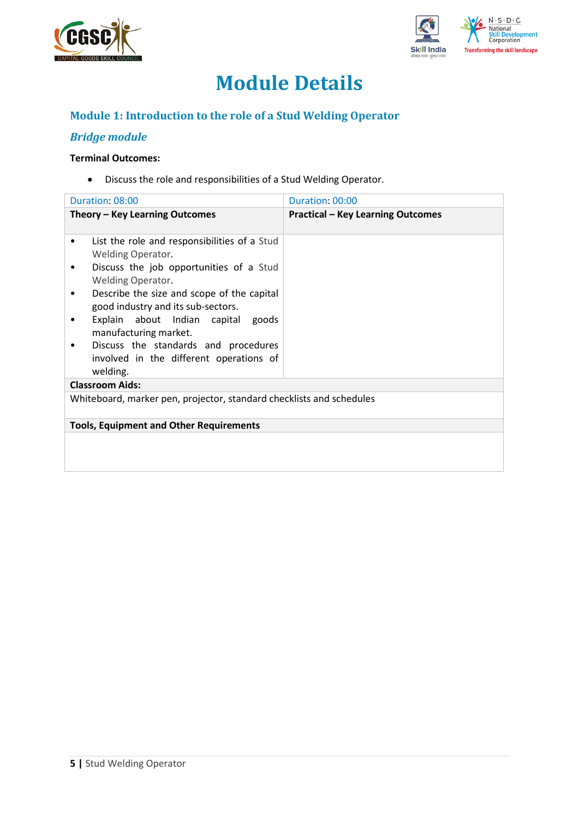



# **Module Details**

## **Module 1: Introduction to the role of a Stud Welding Operator**

### *Bridge module*

### **Terminal Outcomes:**

• Discuss the role and responsibilities of a Stud Welding Operator.

| Duration: 08:00                                                                                                                                                                                                                                                                        | Duration: 00:00                          |
|----------------------------------------------------------------------------------------------------------------------------------------------------------------------------------------------------------------------------------------------------------------------------------------|------------------------------------------|
| Theory - Key Learning Outcomes                                                                                                                                                                                                                                                         | <b>Practical - Key Learning Outcomes</b> |
| List the role and responsibilities of a Stud<br>٠<br><b>Welding Operator.</b><br>Discuss the job opportunities of a Stud<br>٠<br>Welding Operator.<br>Describe the size and scope of the capital<br>٠<br>good industry and its sub-sectors.<br>Explain about Indian capital goods<br>٠ |                                          |
| manufacturing market.<br>Discuss the standards and procedures<br>involved in the different operations of<br>welding.<br><b>Classroom Aids:</b>                                                                                                                                         |                                          |
| Whiteboard, marker pen, projector, standard checklists and schedules                                                                                                                                                                                                                   |                                          |
| <b>Tools, Equipment and Other Requirements</b>                                                                                                                                                                                                                                         |                                          |
|                                                                                                                                                                                                                                                                                        |                                          |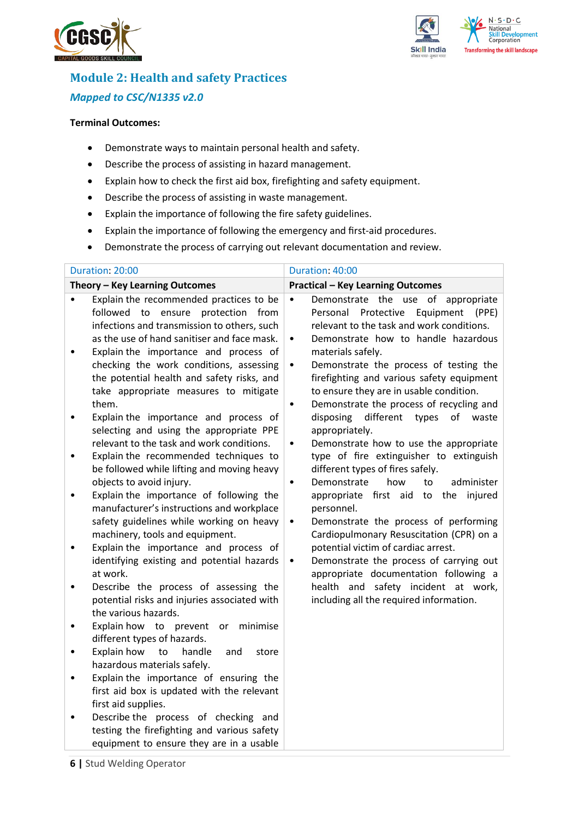



# **Module 2: Health and safety Practices** *Mapped to CSC/N1335 v2.0*

#### **Terminal Outcomes:**

- Demonstrate ways to maintain personal health and safety.
- Describe the process of assisting in hazard management.
- Explain how to check the first aid box, firefighting and safety equipment.
- Describe the process of assisting in waste management.
- Explain the importance of following the fire safety guidelines.
- Explain the importance of following the emergency and first-aid procedures.
- Demonstrate the process of carrying out relevant documentation and review.

| Duration: 20:00                                                                                                                                                                                                                                                                                                                                                                                                                                                                                                                                                                                                                                                                                                                                                                                                                                                                                                                                                                                                                                                                                                                                                                                                                                                                                                                                                                                                                                                                                                                                             | Duration: 40:00                                                                                                                                                                                                                                                                                                                                                                                                                                                                                                                                                                                                                                                                                                                                                                                                                                                                                                                                                                                                                                                  |
|-------------------------------------------------------------------------------------------------------------------------------------------------------------------------------------------------------------------------------------------------------------------------------------------------------------------------------------------------------------------------------------------------------------------------------------------------------------------------------------------------------------------------------------------------------------------------------------------------------------------------------------------------------------------------------------------------------------------------------------------------------------------------------------------------------------------------------------------------------------------------------------------------------------------------------------------------------------------------------------------------------------------------------------------------------------------------------------------------------------------------------------------------------------------------------------------------------------------------------------------------------------------------------------------------------------------------------------------------------------------------------------------------------------------------------------------------------------------------------------------------------------------------------------------------------------|------------------------------------------------------------------------------------------------------------------------------------------------------------------------------------------------------------------------------------------------------------------------------------------------------------------------------------------------------------------------------------------------------------------------------------------------------------------------------------------------------------------------------------------------------------------------------------------------------------------------------------------------------------------------------------------------------------------------------------------------------------------------------------------------------------------------------------------------------------------------------------------------------------------------------------------------------------------------------------------------------------------------------------------------------------------|
| Theory - Key Learning Outcomes                                                                                                                                                                                                                                                                                                                                                                                                                                                                                                                                                                                                                                                                                                                                                                                                                                                                                                                                                                                                                                                                                                                                                                                                                                                                                                                                                                                                                                                                                                                              | <b>Practical - Key Learning Outcomes</b>                                                                                                                                                                                                                                                                                                                                                                                                                                                                                                                                                                                                                                                                                                                                                                                                                                                                                                                                                                                                                         |
| Explain the recommended practices to be<br>$\bullet$<br>followed to ensure protection from<br>infections and transmission to others, such<br>as the use of hand sanitiser and face mask.<br>Explain the importance and process of<br>$\bullet$<br>checking the work conditions, assessing<br>the potential health and safety risks, and<br>take appropriate measures to mitigate<br>them.<br>Explain the importance and process of<br>$\bullet$<br>selecting and using the appropriate PPE<br>relevant to the task and work conditions.<br>Explain the recommended techniques to<br>$\bullet$<br>be followed while lifting and moving heavy<br>objects to avoid injury.<br>Explain the importance of following the<br>$\bullet$<br>manufacturer's instructions and workplace<br>safety guidelines while working on heavy<br>machinery, tools and equipment.<br>Explain the importance and process of<br>$\bullet$<br>identifying existing and potential hazards<br>at work.<br>Describe the process of assessing the<br>$\bullet$<br>potential risks and injuries associated with<br>the various hazards.<br>Explain how to prevent<br>or<br>minimise<br>$\bullet$<br>different types of hazards.<br>Explain how<br>to<br>handle<br>and<br>store<br>$\bullet$<br>hazardous materials safely.<br>Explain the importance of ensuring the<br>$\bullet$<br>first aid box is updated with the relevant<br>first aid supplies.<br>Describe the process of checking and<br>testing the firefighting and various safety<br>equipment to ensure they are in a usable | Demonstrate the use of appropriate<br>$\bullet$<br>Protective<br>Equipment<br>Personal<br>(PPE)<br>relevant to the task and work conditions.<br>Demonstrate how to handle hazardous<br>٠<br>materials safely.<br>Demonstrate the process of testing the<br>٠<br>firefighting and various safety equipment<br>to ensure they are in usable condition.<br>Demonstrate the process of recycling and<br>$\bullet$<br>disposing<br>different<br>types<br>of<br>waste<br>appropriately.<br>Demonstrate how to use the appropriate<br>$\bullet$<br>type of fire extinguisher to extinguish<br>different types of fires safely.<br>administer<br>Demonstrate<br>how<br>to<br>$\bullet$<br>appropriate first aid to the injured<br>personnel.<br>Demonstrate the process of performing<br>$\bullet$<br>Cardiopulmonary Resuscitation (CPR) on a<br>potential victim of cardiac arrest.<br>Demonstrate the process of carrying out<br>$\bullet$<br>appropriate documentation following a<br>health and safety incident at work,<br>including all the required information. |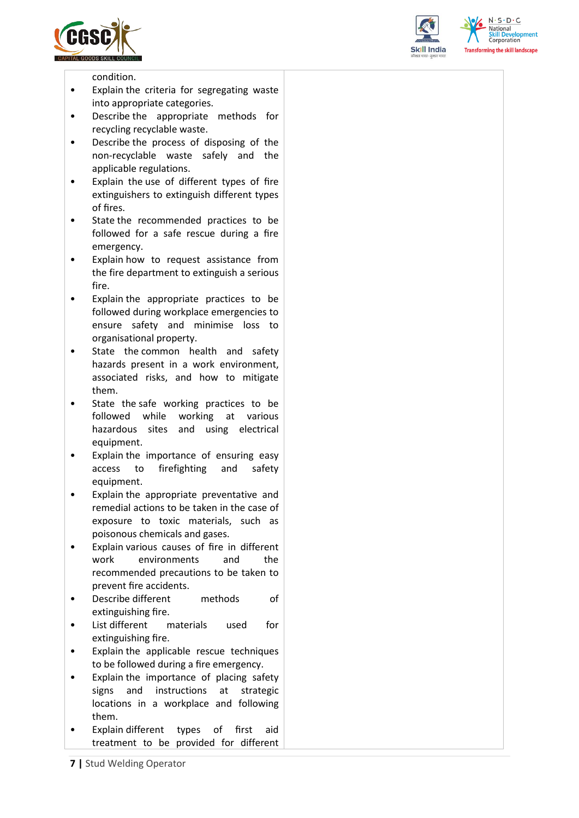





condition.

- Explain the criteria for segregating waste into appropriate categories.
- Describe the appropriate methods for recycling recyclable waste.
- Describe the process of disposing of the non-recyclable waste safely and the applicable regulations.
- Explain the use of different types of fire extinguishers to extinguish different types of fires.
- State the recommended practices to be followed for a safe rescue during a fire emergency.
- Explain how to request assistance from the fire department to extinguish a serious fire.
- Explain the appropriate practices to be followed during workplace emergencies to ensure safety and minimise loss to organisational property.
- State the common health and safety hazards present in a work environment, associated risks, and how to mitigate them.
- State the safe working practices to be followed while working at various hazardous sites and using electrical equipment.
- Explain the importance of ensuring easy access to firefighting and safety equipment.
- Explain the appropriate preventative and remedial actions to be taken in the case of exposure to toxic materials, such as poisonous chemicals and gases.
- Explain various causes of fire in different work environments and the recommended precautions to be taken to prevent fire accidents.
- Describe different methods of extinguishing fire.
- List different materials used for extinguishing fire.
- Explain the applicable rescue techniques to be followed during a fire emergency.
- Explain the importance of placing safety signs and instructions at strategic locations in a workplace and following them.
- Explain different types of first aid treatment to be provided for different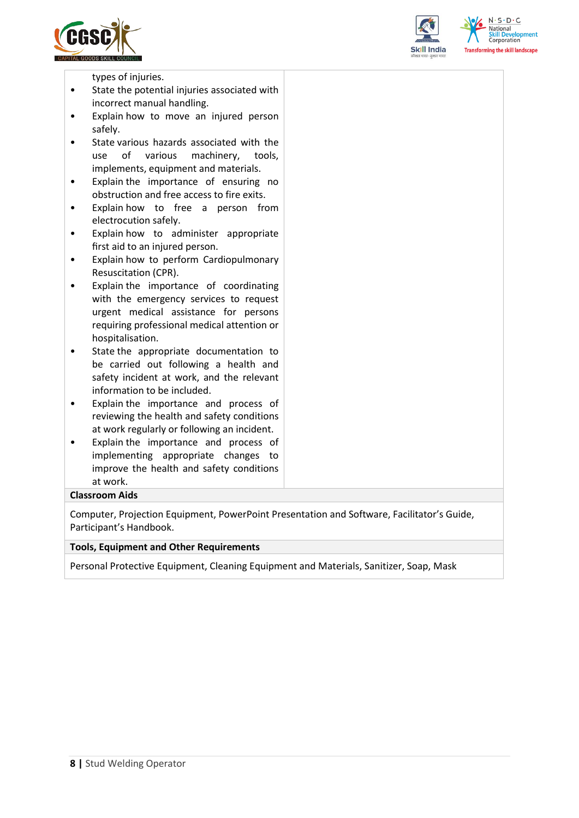



 $N \cdot S \cdot D \cdot C$ forming the skill landscape

types of injuries.

- State the potential injuries associated with incorrect manual handling.
- Explain how to move an injured person safely.
- State various hazards associated with the use of various machinery, tools, implements, equipment and materials.
- Explain the importance of ensuring no obstruction and free access to fire exits.
- Explain how to free a person from electrocution safely.
- Explain how to administer appropriate first aid to an injured person.
- Explain how to perform Cardiopulmonary Resuscitation (CPR).
- Explain the importance of coordinating with the emergency services to request urgent medical assistance for persons requiring professional medical attention or hospitalisation.
- State the appropriate documentation to be carried out following a health and safety incident at work, and the relevant information to be included.
- Explain the importance and process of reviewing the health and safety conditions at work regularly or following an incident.
- Explain the importance and process of implementing appropriate changes to improve the health and safety conditions at work.

### **Classroom Aids**

Computer, Projection Equipment, PowerPoint Presentation and Software, Facilitator's Guide, Participant's Handbook.

#### **Tools, Equipment and Other Requirements**

Personal Protective Equipment, Cleaning Equipment and Materials, Sanitizer, Soap, Mask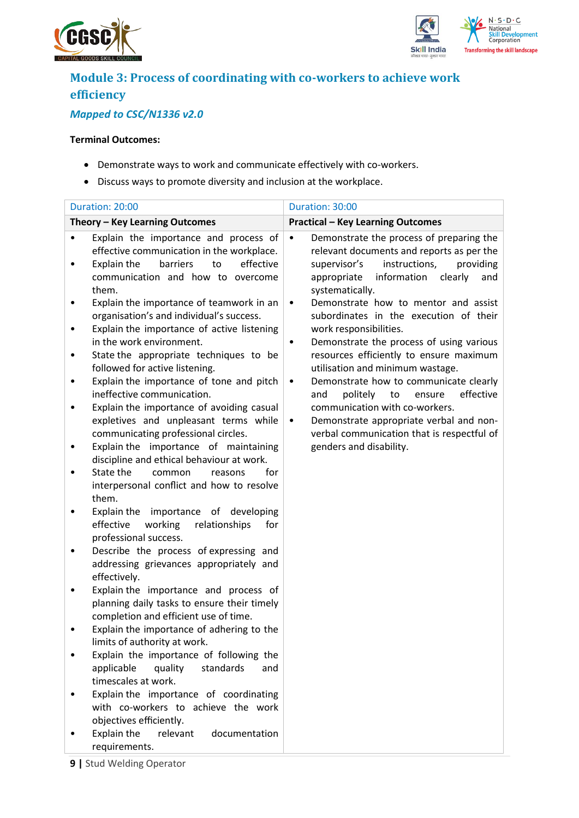



# **Module 3: Process of coordinating with co-workers to achieve work efficiency**

## *Mapped to CSC/N1336 v2.0*

### **Terminal Outcomes:**

- Demonstrate ways to work and communicate effectively with co-workers.
- Discuss ways to promote diversity and inclusion at the workplace.

|        | Duration: 20:00                                                                                                                                                                | Duration: 30:00                                                                                                                                                                                                     |
|--------|--------------------------------------------------------------------------------------------------------------------------------------------------------------------------------|---------------------------------------------------------------------------------------------------------------------------------------------------------------------------------------------------------------------|
|        | Theory - Key Learning Outcomes                                                                                                                                                 | <b>Practical - Key Learning Outcomes</b>                                                                                                                                                                            |
|        | Explain the importance and process of<br>effective communication in the workplace.<br>to<br>effective<br>Explain the<br>barriers<br>communication and how to overcome<br>them. | Demonstrate the process of preparing the<br>$\bullet$<br>relevant documents and reports as per the<br>instructions,<br>providing<br>supervisor's<br>information<br>appropriate<br>clearly<br>and<br>systematically. |
| ٠      | Explain the importance of teamwork in an<br>organisation's and individual's success.<br>Explain the importance of active listening<br>in the work environment.                 | Demonstrate how to mentor and assist<br>$\bullet$<br>subordinates in the execution of their<br>work responsibilities.<br>Demonstrate the process of using various<br>٠                                              |
| ٠<br>٠ | State the appropriate techniques to be<br>followed for active listening.<br>Explain the importance of tone and pitch                                                           | resources efficiently to ensure maximum<br>utilisation and minimum wastage.<br>Demonstrate how to communicate clearly<br>$\bullet$                                                                                  |
|        | ineffective communication.<br>Explain the importance of avoiding casual<br>expletives and unpleasant terms while<br>communicating professional circles.                        | politely<br>to<br>ensure<br>effective<br>and<br>communication with co-workers.<br>Demonstrate appropriate verbal and non-<br>$\bullet$<br>verbal communication that is respectful of                                |
|        | Explain the importance of maintaining<br>discipline and ethical behaviour at work.<br>State the<br>for<br>common<br>reasons                                                    | genders and disability.                                                                                                                                                                                             |
|        | interpersonal conflict and how to resolve<br>them.<br>Explain the importance of developing                                                                                     |                                                                                                                                                                                                                     |
| ٠      | effective<br>working<br>relationships<br>for<br>professional success.<br>Describe the process of expressing and                                                                |                                                                                                                                                                                                                     |
|        | addressing grievances appropriately and<br>effectively.                                                                                                                        |                                                                                                                                                                                                                     |
|        | Explain the importance and process of<br>planning daily tasks to ensure their timely<br>completion and efficient use of time.                                                  |                                                                                                                                                                                                                     |
|        | Explain the importance of adhering to the<br>limits of authority at work.<br>Explain the importance of following the                                                           |                                                                                                                                                                                                                     |
|        | applicable<br>quality<br>standards<br>and<br>timescales at work.                                                                                                               |                                                                                                                                                                                                                     |
|        | Explain the importance of coordinating<br>with co-workers to achieve the work<br>objectives efficiently.                                                                       |                                                                                                                                                                                                                     |
|        | Explain the<br>relevant<br>documentation<br>requirements.                                                                                                                      |                                                                                                                                                                                                                     |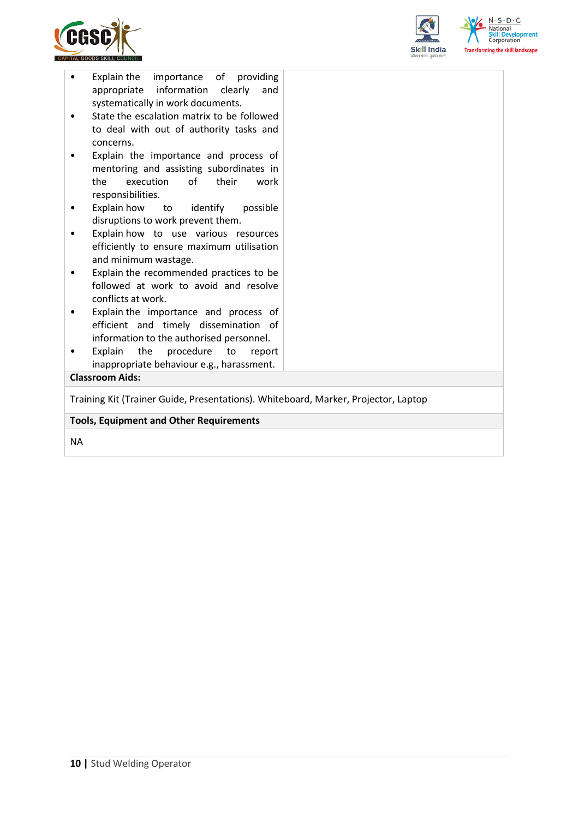



| to deal with out of authority tasks and<br>concerns.<br>Explain the importance and process of                                   |  |  |  |  |
|---------------------------------------------------------------------------------------------------------------------------------|--|--|--|--|
| mentoring and assisting subordinates in<br>execution<br>of<br>their<br>the<br>work<br>responsibilities.                         |  |  |  |  |
| Explain how to identify<br>possible<br>٠<br>disruptions to work prevent them.                                                   |  |  |  |  |
| Explain how to use various resources<br>efficiently to ensure maximum utilisation<br>and minimum wastage.                       |  |  |  |  |
| Explain the recommended practices to be<br>followed at work to avoid and resolve<br>conflicts at work.                          |  |  |  |  |
| Explain the importance and process of<br>٠<br>efficient and timely dissemination of<br>information to the authorised personnel. |  |  |  |  |
| Explain<br>the<br>procedure<br>to<br>report<br>inappropriate behaviour e.g., harassment.                                        |  |  |  |  |
| <b>Classroom Aids:</b>                                                                                                          |  |  |  |  |
| Training Kit (Trainer Guide, Presentations). Whiteboard, Marker, Projector, Laptop                                              |  |  |  |  |
|                                                                                                                                 |  |  |  |  |
| <b>Tools, Equipment and Other Requirements</b>                                                                                  |  |  |  |  |

NA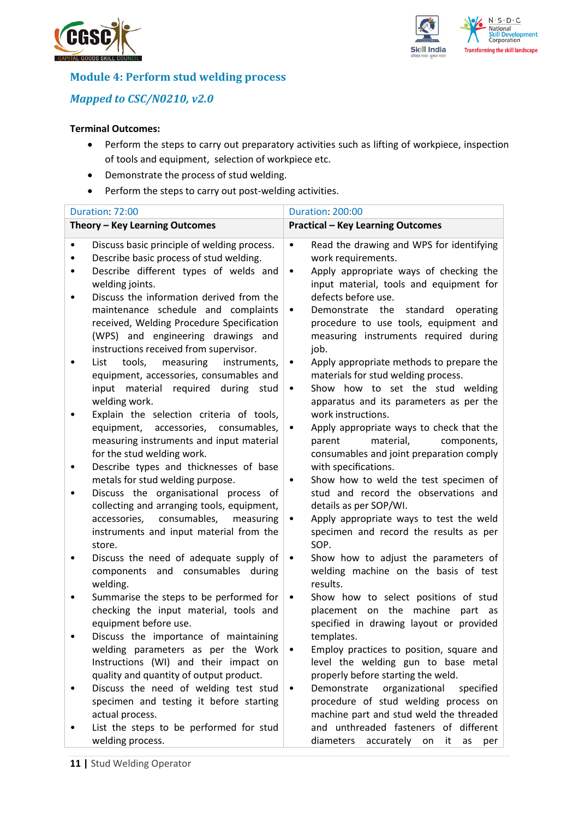



### **Module 4: Perform stud welding process**

*Mapped to CSC/N0210, v2.0*

### **Terminal Outcomes:**

- Perform the steps to carry out preparatory activities such as lifting of workpiece, inspection of tools and equipment, selection of workpiece etc.
- Demonstrate the process of stud welding.
- Perform the steps to carry out post-welding activities.

|                        | Duration: 72:00                                                                                                                                                                                                 | <b>Duration: 200:00</b>                                                                                                                                                                                |
|------------------------|-----------------------------------------------------------------------------------------------------------------------------------------------------------------------------------------------------------------|--------------------------------------------------------------------------------------------------------------------------------------------------------------------------------------------------------|
|                        | Theory - Key Learning Outcomes                                                                                                                                                                                  | <b>Practical - Key Learning Outcomes</b>                                                                                                                                                               |
| $\bullet$<br>$\bullet$ | Discuss basic principle of welding process.<br>Describe basic process of stud welding.<br>Describe different types of welds and<br>welding joints.<br>Discuss the information derived from the                  | Read the drawing and WPS for identifying<br>$\bullet$<br>work requirements.<br>Apply appropriate ways of checking the<br>$\bullet$<br>input material, tools and equipment for<br>defects before use.   |
| ٠                      | maintenance schedule and complaints<br>received, Welding Procedure Specification<br>(WPS) and engineering drawings and<br>instructions received from supervisor.<br>measuring<br>tools,<br>instruments,<br>List | Demonstrate the standard<br>operating<br>$\bullet$<br>procedure to use tools, equipment and<br>measuring instruments required during<br>job.                                                           |
|                        | equipment, accessories, consumables and<br>material required during stud<br>input<br>welding work.<br>Explain the selection criteria of tools,                                                                  | Apply appropriate methods to prepare the<br>$\bullet$<br>materials for stud welding process.<br>Show how to set the stud welding<br>٠<br>apparatus and its parameters as per the<br>work instructions. |
|                        | equipment, accessories, consumables,<br>measuring instruments and input material<br>for the stud welding work.                                                                                                  | Apply appropriate ways to check that the<br>٠<br>material,<br>parent<br>components,<br>consumables and joint preparation comply                                                                        |
| ٠                      | Describe types and thicknesses of base<br>metals for stud welding purpose.<br>Discuss the organisational process of                                                                                             | with specifications.<br>Show how to weld the test specimen of<br>$\bullet$<br>stud and record the observations and                                                                                     |
|                        | collecting and arranging tools, equipment,<br>consumables,<br>accessories,<br>measuring<br>instruments and input material from the<br>store.                                                                    | details as per SOP/WI.<br>Apply appropriate ways to test the weld<br>$\bullet$<br>specimen and record the results as per<br>SOP.                                                                       |
| ٠                      | Discuss the need of adequate supply of<br>components and consumables<br>during<br>welding.                                                                                                                      | Show how to adjust the parameters of<br>$\bullet$<br>welding machine on the basis of test<br>results.                                                                                                  |
|                        | Summarise the steps to be performed for<br>checking the input material, tools and<br>equipment before use.                                                                                                      | Show how to select positions of stud<br>$\bullet$<br>placement on the machine<br>part as<br>specified in drawing layout or provided                                                                    |
|                        | Discuss the importance of maintaining<br>welding parameters as per the Work<br>Instructions (WI) and their impact on                                                                                            | templates.<br>Employ practices to position, square and<br>٠<br>level the welding gun to base metal                                                                                                     |
|                        | quality and quantity of output product.<br>Discuss the need of welding test stud<br>specimen and testing it before starting<br>actual process.                                                                  | properly before starting the weld.<br>Demonstrate<br>organizational<br>specified<br>٠<br>procedure of stud welding process on<br>machine part and stud weld the threaded                               |
|                        | List the steps to be performed for stud<br>welding process.                                                                                                                                                     | and unthreaded fasteners of different<br>accurately<br>diameters<br>on<br>it<br>as<br>per                                                                                                              |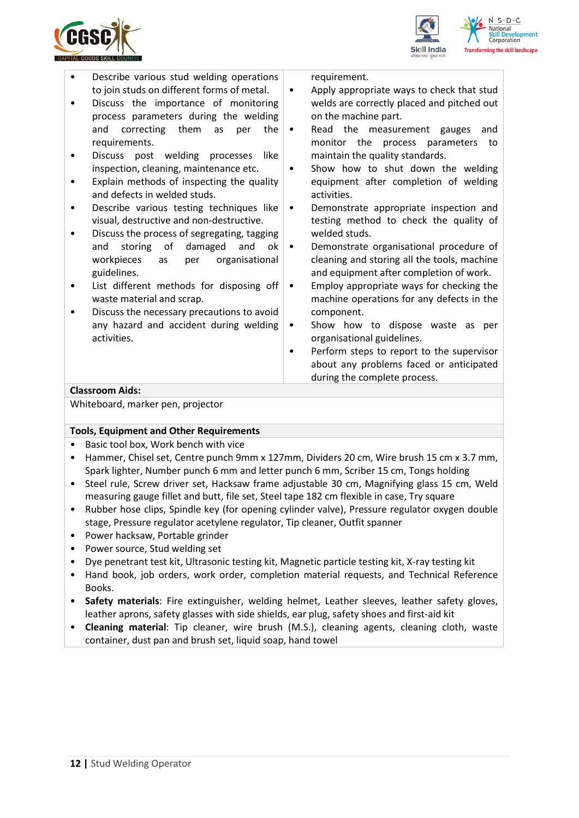





- Describe various stud welding operations to join studs on different forms of metal. • Discuss the importance of monitoring process parameters during the welding and correcting them as per the requirements. • Discuss post welding processes like inspection, cleaning, maintenance etc. • Explain methods of inspecting the quality and defects in welded studs. • Describe various testing techniques like visual, destructive and non-destructive. • Discuss the process of segregating, tagging and storing of damaged and ok workpieces as per organisational guidelines. • List different methods for disposing off waste material and scrap. • Discuss the necessary precautions to avoid any hazard and accident during welding activities. on the machine part. activities. welded studs. component. organisational guidelines. **Classroom Aids:** Whiteboard, marker pen, projector **Tools, Equipment and Other Requirements**  • Basic tool box, Work bench with vice
- Hammer, Chisel set, Centre punch 9mm x 127mm, Dividers 20 cm, Wire brush 15 cm x 3.7 mm, Spark lighter, Number punch 6 mm and letter punch 6 mm, Scriber 15 cm, Tongs holding
- Steel rule, Screw driver set, Hacksaw frame adjustable 30 cm, Magnifying glass 15 cm, Weld measuring gauge fillet and butt, file set, Steel tape 182 cm flexible in case, Try square
- Rubber hose clips, Spindle key (for opening cylinder valve), Pressure regulator oxygen double stage, Pressure regulator acetylene regulator, Tip cleaner, Outfit spanner
- Power hacksaw, Portable grinder
- Power source, Stud welding set
- Dye penetrant test kit, Ultrasonic testing kit, Magnetic particle testing kit, X-ray testing kit
- Hand book, job orders, work order, completion material requests, and Technical Reference Books.
- **Safety materials**: Fire extinguisher, welding helmet, Leather sleeves, leather safety gloves, leather aprons, safety glasses with side shields, ear plug, safety shoes and first-aid kit
- **Cleaning material**: Tip cleaner, wire brush (M.S.), cleaning agents, cleaning cloth, waste container, dust pan and brush set, liquid soap, hand towel

requirement.

- Apply appropriate ways to check that stud welds are correctly placed and pitched out
- Read the measurement gauges and monitor the process parameters to maintain the quality standards.
- Show how to shut down the welding equipment after completion of welding
- Demonstrate appropriate inspection and testing method to check the quality of
- Demonstrate organisational procedure of cleaning and storing all the tools, machine and equipment after completion of work.
- Employ appropriate ways for checking the machine operations for any defects in the
- Show how to dispose waste as per
- Perform steps to report to the supervisor about any problems faced or anticipated during the complete process.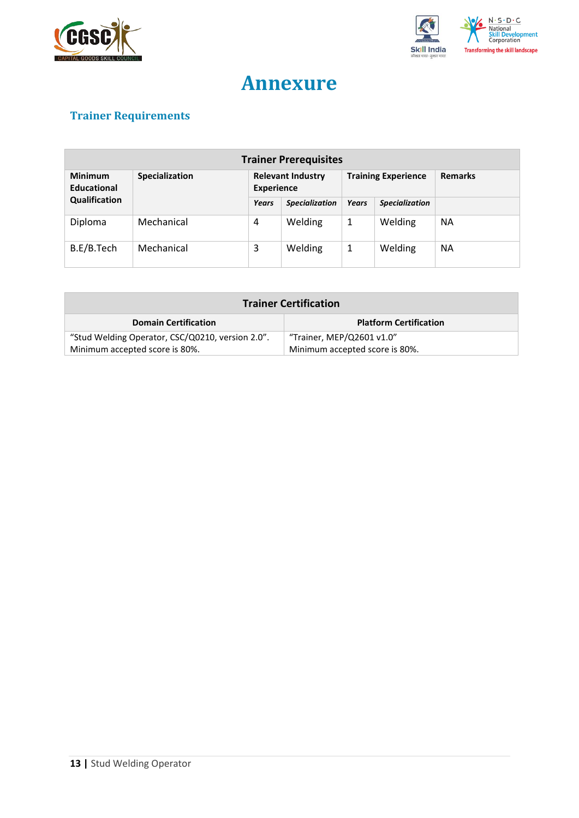



# **Annexure**

# <span id="page-12-0"></span>**Trainer Requirements**

| <b>Trainer Prerequisites</b>  |                |                                               |                       |              |                            |                |
|-------------------------------|----------------|-----------------------------------------------|-----------------------|--------------|----------------------------|----------------|
| <b>Minimum</b><br>Educational | Specialization | <b>Relevant Industry</b><br><b>Experience</b> |                       |              | <b>Training Experience</b> | <b>Remarks</b> |
| Qualification                 |                | Years                                         | <b>Specialization</b> | <b>Years</b> | <b>Specialization</b>      |                |
| Diploma                       | Mechanical     | 4                                             | Welding               | 1            | Welding                    | <b>NA</b>      |
| B.E/B.Tech                    | Mechanical     | 3                                             | Welding               | 1            | Welding                    | <b>NA</b>      |

| <b>Trainer Certification</b>                     |                                |  |  |
|--------------------------------------------------|--------------------------------|--|--|
| <b>Domain Certification</b>                      | <b>Platform Certification</b>  |  |  |
| "Stud Welding Operator, CSC/Q0210, version 2.0". | "Trainer, MEP/Q2601 v1.0"      |  |  |
| Minimum accepted score is 80%.                   | Minimum accepted score is 80%. |  |  |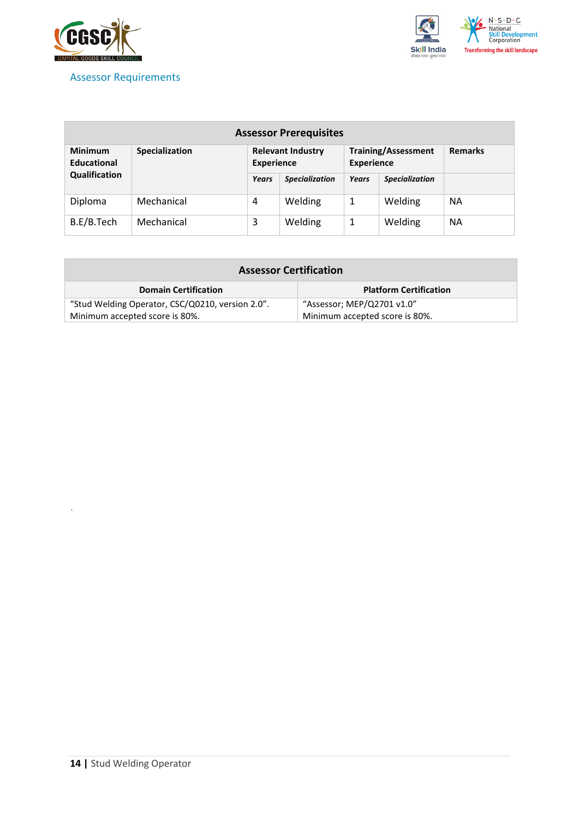

### <span id="page-13-0"></span>Assessor Requirements



| <b>Assessor Prerequisites</b>        |                       |                                               |                       |                   |                            |                |
|--------------------------------------|-----------------------|-----------------------------------------------|-----------------------|-------------------|----------------------------|----------------|
| <b>Minimum</b><br><b>Educational</b> | <b>Specialization</b> | <b>Relevant Industry</b><br><b>Experience</b> |                       | <b>Experience</b> | <b>Training/Assessment</b> | <b>Remarks</b> |
| Qualification                        |                       | Years                                         | <b>Specialization</b> | Years             | <b>Specialization</b>      |                |
| Diploma                              | Mechanical            | 4                                             | Welding               | 1                 | Welding                    | <b>NA</b>      |
| B.E/B.Tech                           | Mechanical            | 3                                             | Welding               | 1                 | Welding                    | <b>NA</b>      |

| <b>Assessor Certification</b>                                    |                               |  |  |
|------------------------------------------------------------------|-------------------------------|--|--|
| <b>Domain Certification</b>                                      | <b>Platform Certification</b> |  |  |
| "Stud Welding Operator, CSC/Q0210, version 2.0".                 | "Assessor; MEP/Q2701 v1.0"    |  |  |
| Minimum accepted score is 80%.<br>Minimum accepted score is 80%. |                               |  |  |

*`*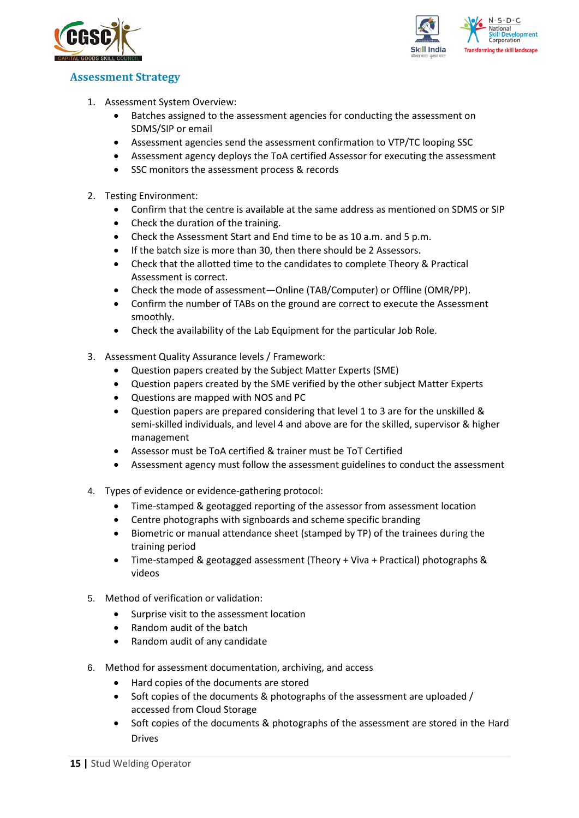



### <span id="page-14-0"></span>**Assessment Strategy**

- 1. Assessment System Overview:
	- Batches assigned to the assessment agencies for conducting the assessment on SDMS/SIP or email
	- Assessment agencies send the assessment confirmation to VTP/TC looping SSC
	- Assessment agency deploys the ToA certified Assessor for executing the assessment
	- SSC monitors the assessment process & records
- 2. Testing Environment:
	- Confirm that the centre is available at the same address as mentioned on SDMS or SIP
	- Check the duration of the training.
	- Check the Assessment Start and End time to be as 10 a.m. and 5 p.m.
	- If the batch size is more than 30, then there should be 2 Assessors.
	- Check that the allotted time to the candidates to complete Theory & Practical Assessment is correct.
	- Check the mode of assessment—Online (TAB/Computer) or Offline (OMR/PP).
	- Confirm the number of TABs on the ground are correct to execute the Assessment smoothly.
	- Check the availability of the Lab Equipment for the particular Job Role.
- 3. Assessment Quality Assurance levels / Framework:
	- Question papers created by the Subject Matter Experts (SME)
	- Question papers created by the SME verified by the other subject Matter Experts
	- Questions are mapped with NOS and PC
	- Question papers are prepared considering that level 1 to 3 are for the unskilled & semi-skilled individuals, and level 4 and above are for the skilled, supervisor & higher management
	- Assessor must be ToA certified & trainer must be ToT Certified
	- Assessment agency must follow the assessment guidelines to conduct the assessment
- 4. Types of evidence or evidence-gathering protocol:
	- Time-stamped & geotagged reporting of the assessor from assessment location
	- Centre photographs with signboards and scheme specific branding
	- Biometric or manual attendance sheet (stamped by TP) of the trainees during the training period
	- Time-stamped & geotagged assessment (Theory + Viva + Practical) photographs & videos
- 5. Method of verification or validation:
	- Surprise visit to the assessment location
	- Random audit of the batch
	- Random audit of any candidate
- 6. Method for assessment documentation, archiving, and access
	- Hard copies of the documents are stored
	- Soft copies of the documents & photographs of the assessment are uploaded / accessed from Cloud Storage
	- Soft copies of the documents & photographs of the assessment are stored in the Hard Drives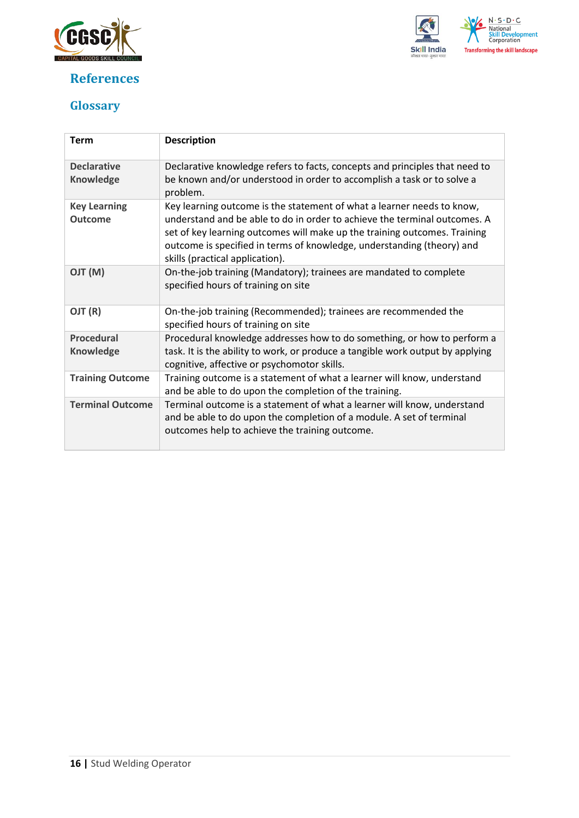

## <span id="page-15-0"></span>**References**



## <span id="page-15-1"></span>**Glossary**

| <b>Term</b>                            | <b>Description</b>                                                                                                                                                                                                                                                                                                                            |
|----------------------------------------|-----------------------------------------------------------------------------------------------------------------------------------------------------------------------------------------------------------------------------------------------------------------------------------------------------------------------------------------------|
| <b>Declarative</b><br><b>Knowledge</b> | Declarative knowledge refers to facts, concepts and principles that need to<br>be known and/or understood in order to accomplish a task or to solve a<br>problem.                                                                                                                                                                             |
| <b>Key Learning</b><br><b>Outcome</b>  | Key learning outcome is the statement of what a learner needs to know,<br>understand and be able to do in order to achieve the terminal outcomes. A<br>set of key learning outcomes will make up the training outcomes. Training<br>outcome is specified in terms of knowledge, understanding (theory) and<br>skills (practical application). |
| (M) TLO                                | On-the-job training (Mandatory); trainees are mandated to complete<br>specified hours of training on site                                                                                                                                                                                                                                     |
| OJT (R)                                | On-the-job training (Recommended); trainees are recommended the<br>specified hours of training on site                                                                                                                                                                                                                                        |
| <b>Procedural</b><br><b>Knowledge</b>  | Procedural knowledge addresses how to do something, or how to perform a<br>task. It is the ability to work, or produce a tangible work output by applying                                                                                                                                                                                     |
|                                        | cognitive, affective or psychomotor skills.                                                                                                                                                                                                                                                                                                   |
| <b>Training Outcome</b>                | Training outcome is a statement of what a learner will know, understand<br>and be able to do upon the completion of the training.                                                                                                                                                                                                             |
| <b>Terminal Outcome</b>                | Terminal outcome is a statement of what a learner will know, understand<br>and be able to do upon the completion of a module. A set of terminal<br>outcomes help to achieve the training outcome.                                                                                                                                             |